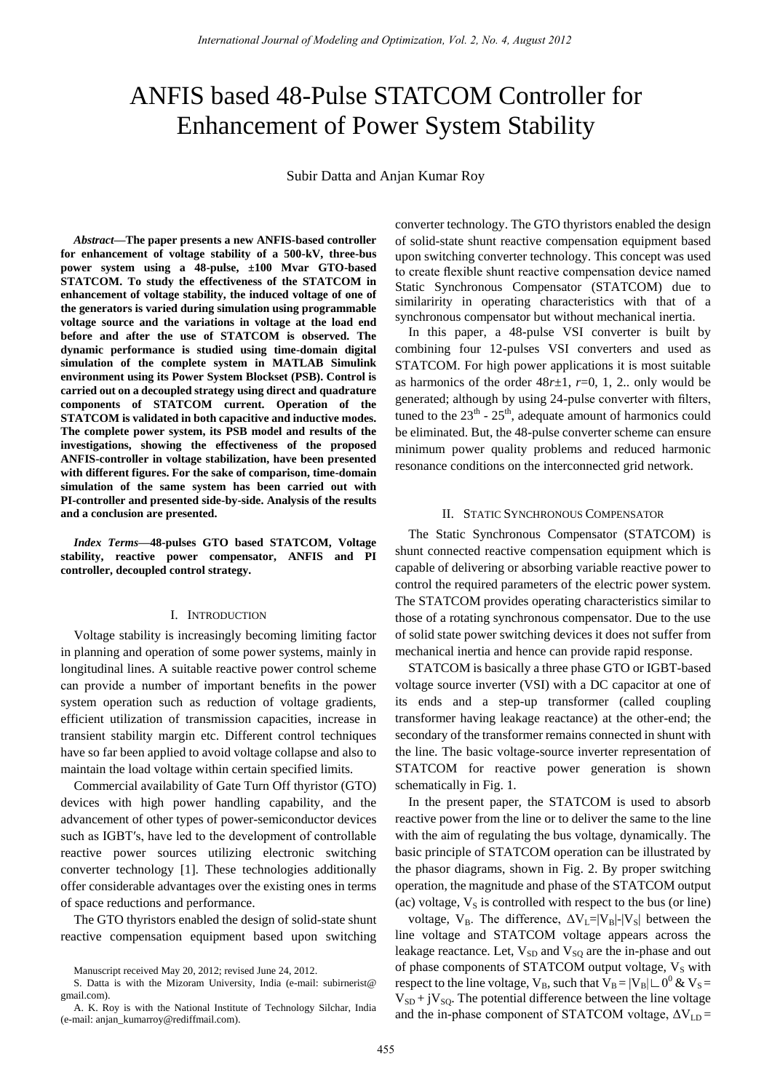# ANFIS based 48-Pulse STATCOM Controller for Enhancement of Power System Stability

Subir Datta and Anjan Kumar Roy

*Abstract***—The paper presents a new ANFIS-based controller for enhancement of voltage stability of a 500-kV, three-bus power system using a 48-pulse, ±100 Mvar GTO-based STATCOM. To study the effectiveness of the STATCOM in enhancement of voltage stability, the induced voltage of one of the generators is varied during simulation using programmable voltage source and the variations in voltage at the load end before and after the use of STATCOM is observed. The dynamic performance is studied using time-domain digital simulation of the complete system in MATLAB Simulink environment using its Power System Blockset (PSB). Control is carried out on a decoupled strategy using direct and quadrature components of STATCOM current. Operation of the STATCOM is validated in both capacitive and inductive modes. The complete power system, its PSB model and results of the investigations, showing the effectiveness of the proposed ANFIS-controller in voltage stabilization, have been presented with different figures. For the sake of comparison, time-domain simulation of the same system has been carried out with PI-controller and presented side-by-side. Analysis of the results and a conclusion are presented.** 

*Index Terms***—48-pulses GTO based STATCOM, Voltage stability, reactive power compensator, ANFIS and PI controller, decoupled control strategy.** 

#### I. INTRODUCTION

Voltage stability is increasingly becoming limiting factor in planning and operation of some power systems, mainly in longitudinal lines. A suitable reactive power control scheme can provide a number of important benefits in the power system operation such as reduction of voltage gradients, efficient utilization of transmission capacities, increase in transient stability margin etc. Different control techniques have so far been applied to avoid voltage collapse and also to maintain the load voltage within certain specified limits.

Commercial availability of Gate Turn Off thyristor (GTO) devices with high power handling capability, and the advancement of other types of power-semiconductor devices such as IGBT′s, have led to the development of controllable reactive power sources utilizing electronic switching converter technology [1]. These technologies additionally offer considerable advantages over the existing ones in terms of space reductions and performance.

The GTO thyristors enabled the design of solid-state shunt reactive compensation equipment based upon switching converter technology. The GTO thyristors enabled the design of solid-state shunt reactive compensation equipment based upon switching converter technology. This concept was used to create flexible shunt reactive compensation device named Static Synchronous Compensator (STATCOM) due to similaririty in operating characteristics with that of a synchronous compensator but without mechanical inertia.

In this paper, a 48-pulse VSI converter is built by combining four 12-pulses VSI converters and used as STATCOM. For high power applications it is most suitable as harmonics of the order  $48r \pm 1$ ,  $r=0$ , 1, 2.. only would be generated; although by using 24-pulse converter with filters, tuned to the  $23<sup>th</sup> - 25<sup>th</sup>$ , adequate amount of harmonics could be eliminated. But, the 48-pulse converter scheme can ensure minimum power quality problems and reduced harmonic resonance conditions on the interconnected grid network.

#### II. STATIC SYNCHRONOUS COMPENSATOR

The Static Synchronous Compensator (STATCOM) is shunt connected reactive compensation equipment which is capable of delivering or absorbing variable reactive power to control the required parameters of the electric power system. The STATCOM provides operating characteristics similar to those of a rotating synchronous compensator. Due to the use of solid state power switching devices it does not suffer from mechanical inertia and hence can provide rapid response.

STATCOM is basically a three phase GTO or IGBT-based voltage source inverter (VSI) with a DC capacitor at one of its ends and a step-up transformer (called coupling transformer having leakage reactance) at the other-end; the secondary of the transformer remains connected in shunt with the line. The basic voltage-source inverter representation of STATCOM for reactive power generation is shown schematically in Fig. 1.

In the present paper, the STATCOM is used to absorb reactive power from the line or to deliver the same to the line with the aim of regulating the bus voltage, dynamically. The basic principle of STATCOM operation can be illustrated by the phasor diagrams, shown in Fig. 2. By proper switching operation, the magnitude and phase of the STATCOM output (ac) voltage,  $V<sub>S</sub>$  is controlled with respect to the bus (or line)

voltage,  $V_B$ . The difference,  $\Delta V_L=|V_B|-|V_S|$  between the line voltage and STATCOM voltage appears across the leakage reactance. Let,  $V_{SD}$  and  $V_{SO}$  are the in-phase and out of phase components of STATCOM output voltage,  $V_S$  with respect to the line voltage,  $V_B$ , such that  $V_B = |V_B| \sqcup 0^0 \& V_S =$  $V_{SD}$  + j $V_{SO}$ . The potential difference between the line voltage and the in-phase component of STATCOM voltage,  $\Delta V_{LD}$  =

Manuscript received May 20, 2012; revised June 24, 2012.

S. Datta is with the Mizoram University, India (e-mail: subirnerist@ gmail.com).

A. K. Roy is with the National Institute of Technology Silchar, India (e-mail: anjan\_kumarroy@rediffmail.com).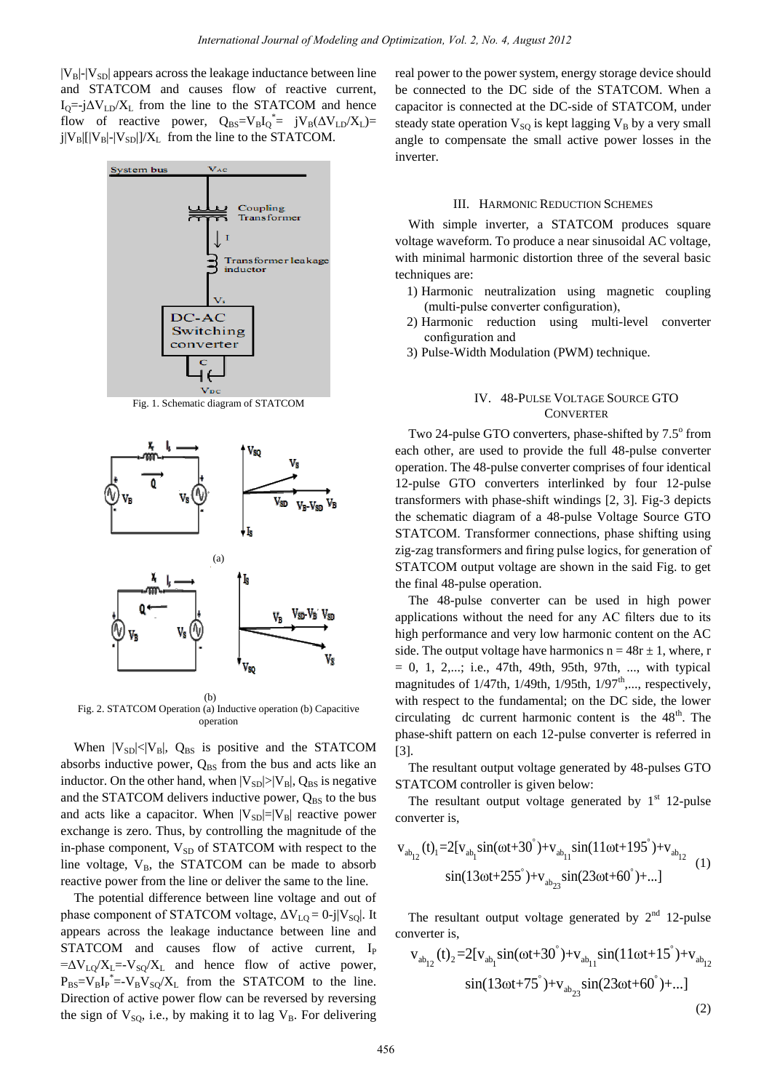$|V_{B}|$ - $|V_{SD}|$  appears across the leakage inductance between line and STATCOM and causes flow of reactive current,  $I_{Q}=-j\Delta V_{LD}/X_{L}$  from the line to the STATCOM and hence flow of reactive power,  $Q_{BS} = V_B I_Q^* = j V_B (\Delta V_{LD} / X_L) =$  $j|V_B||V_B|-|V_{SD}|/X_L$  from the line to the STATCOM.



Fig. 2. STATCOM Operation (a) Inductive operation (b) Capacitive operation

When  $|V_{SD}| < |V_B|$ ,  $Q_{BS}$  is positive and the STATCOM absorbs inductive power,  $Q_{BS}$  from the bus and acts like an inductor. On the other hand, when  $|V_{SD}| > |V_B|$ ,  $Q_{BS}$  is negative and the STATCOM delivers inductive power,  $Q_{BS}$  to the bus and acts like a capacitor. When  $|V_{SD}|=|V_B|$  reactive power exchange is zero. Thus, by controlling the magnitude of the in-phase component, V<sub>SD</sub> of STATCOM with respect to the line voltage,  $V_B$ , the STATCOM can be made to absorb reactive power from the line or deliver the same to the line.

The potential difference between line voltage and out of phase component of STATCOM voltage,  $\Delta V_{LO} = 0$ -j|V<sub>SO</sub>|. It appears across the leakage inductance between line and STATCOM and causes flow of active current, I<sub>P</sub>  $=\Delta V_{LQ}/X_L = -V_{SQ}/X_L$  and hence flow of active power,  $P_{BS} = V_B I_P^* = -V_B V_{SQ} / X_L$  from the STATCOM to the line. Direction of active power flow can be reversed by reversing the sign of  $V_{SQ}$ , i.e., by making it to lag  $V_B$ . For delivering

real power to the power system, energy storage device should be connected to the DC side of the STATCOM. When a capacitor is connected at the DC-side of STATCOM, under steady state operation  $V_{SO}$  is kept lagging  $V_B$  by a very small angle to compensate the small active power losses in the inverter.

## III. HARMONIC REDUCTION SCHEMES

With simple inverter, a STATCOM produces square voltage waveform. To produce a near sinusoidal AC voltage, with minimal harmonic distortion three of the several basic techniques are:

- 1) Harmonic neutralization using magnetic coupling (multi-pulse converter configuration),
- 2) Harmonic reduction using multi-level converter configuration and
- 3) Pulse-Width Modulation (PWM) technique.

# IV. 48-PULSE VOLTAGE SOURCE GTO **CONVERTER**

Two 24-pulse GTO converters, phase-shifted by 7.5° from each other, are used to provide the full 48-pulse converter operation. The 48-pulse converter comprises of four identical 12-pulse GTO converters interlinked by four 12-pulse transformers with phase-shift windings [2, 3]. Fig-3 depicts the schematic diagram of a 48-pulse Voltage Source GTO STATCOM. Transformer connections, phase shifting using zig-zag transformers and firing pulse logics, for generation of STATCOM output voltage are shown in the said Fig. to get the final 48-pulse operation.

The 48-pulse converter can be used in high power applications without the need for any AC filters due to its high performance and very low harmonic content on the AC side. The output voltage have harmonics  $n = 48r \pm 1$ , where, r  $= 0, 1, 2,...;$  i.e., 47th, 49th, 95th, 97th, ..., with typical magnitudes of  $1/47$ th,  $1/49$ th,  $1/95$ th,  $1/97$ <sup>th</sup>,..., respectively, with respect to the fundamental; on the DC side, the lower circulating dc current harmonic content is the  $48<sup>th</sup>$ . The phase-shift pattern on each 12-pulse converter is referred in [3].

The resultant output voltage generated by 48-pulses GTO STATCOM controller is given below:

The resultant output voltage generated by  $1<sup>st</sup>$  12-pulse converter is,

converter is,  
\n
$$
v_{ab_{12}}(t)_{1} = 2[v_{ab_{1}}\sin(\omega t + 30^{\circ}) + v_{ab_{11}}\sin(11\omega t + 195^{\circ}) + v_{ab_{12}}{(1)}
$$
\n
$$
\sin(13\omega t + 255^{\circ}) + v_{ab_{23}}\sin(23\omega t + 60^{\circ}) + ...]
$$
\n(1)

The resultant output voltage generated by  $2^{nd}$  12-pulse<br>nverter is,<br> $v_{ab_{12}}(t)_{2} = 2[v_{ab_{1}}\sin(\omega t+30^{\circ})+v_{ab_{11}}\sin(11\omega t+15^{\circ})+v_{ab_{12}}$ converter is,

$$
v_{ab_{12}}(t)_{2} = 2[v_{ab_{1}}sin(\omega t + 30^{\circ}) + v_{ab_{11}}sin(11\omega t + 15^{\circ}) + v_{ab_{12}}sin(13\omega t + 75^{\circ}) + v_{ab_{23}}sin(23\omega t + 60^{\circ}) + ...]
$$
\n(2)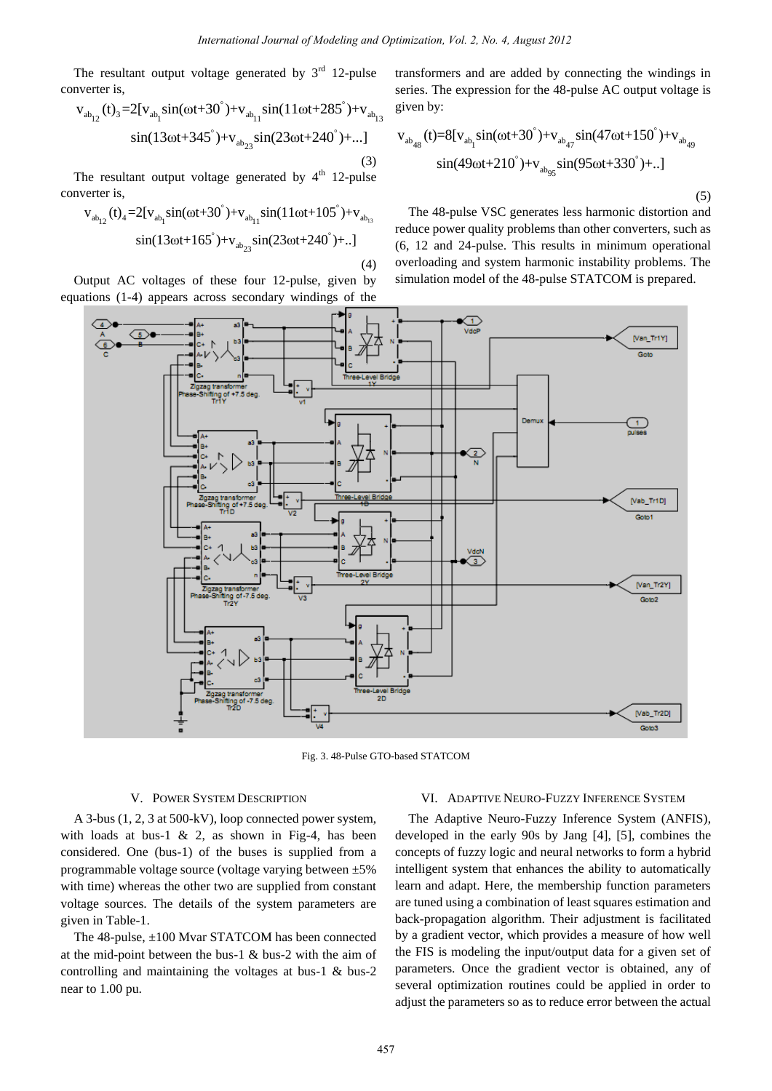(4)

The resultant output voltage generated by  $3^{rd}$  12-pulse<br>nverter is,<br> $v_{ab_{12}}(t)_3 = 2[v_{ab_1} \sin(\omega t + 30^\circ) + v_{ab_{11}} \sin(11\omega t + 285^\circ) + v_{ab_{12}}$ converter is,

$$
v_{ab_{12}}(t)_{3} = 2[v_{ab_{1}}\sin(\omega t + 30^{\circ}) + v_{ab_{11}}\sin(11\omega t + 285^{\circ}) + v_{ab_{13}}\sin(13\omega t + 345^{\circ}) + v_{ab_{23}}\sin(23\omega t + 240^{\circ}) + \dots]
$$
\n(3)

The resultant output voltage generated by 4<sup>th</sup> 12-pulse<br>nverter is,<br> $v_{ab_{12}}(t)_{4} = 2[v_{ab_{1}}\sin(\omega t+30^{\degree})+v_{ab_{11}}\sin(11\omega t+105^{\degree})+v_{ab_{13}}$ converter is,

$$
v_{ab_{12}}(t)_{4} = 2[v_{ab_{1}}sin(\omega t + 30^{\circ}) + v_{ab_{11}}sin(11\omega t + 105^{\circ}) + v_{ab_{13}}sin(13\omega t + 165^{\circ}) + v_{ab_{23}}sin(23\omega t + 240^{\circ}) + ..]
$$

Output AC voltages of these four 12-pulse, given by equations (1-4) appears across secondary windings of the

transformers and are added by connecting the windings in series. The expression for the 48-pulse AC output voltage is given by:

given by:  
\n
$$
v_{ab_{48}}(t)=8[v_{ab_{1}}\sin(\omega t+30^{\circ})+v_{ab_{47}}\sin(47\omega t+150^{\circ})+v_{ab_{49}}\sin(49\omega t+210^{\circ})+v_{ab_{95}}\sin(95\omega t+330^{\circ})+...]
$$
\n(5)

The 48-pulse VSC generates less harmonic distortion and reduce power quality problems than other converters, such as (6, 12 and 24-pulse. This results in minimum operational overloading and system harmonic instability problems. The simulation model of the 48-pulse STATCOM is prepared.



Fig. 3. 48-Pulse GTO-based STATCOM

#### V. POWER SYSTEM DESCRIPTION

A 3-bus (1, 2, 3 at 500-kV), loop connected power system, with loads at bus-1  $\&$  2, as shown in Fig-4, has been considered. One (bus-1) of the buses is supplied from a programmable voltage source (voltage varying between ±5% with time) whereas the other two are supplied from constant voltage sources. The details of the system parameters are given in Table-1.

The 48-pulse, ±100 Mvar STATCOM has been connected at the mid-point between the bus-1 & bus-2 with the aim of controlling and maintaining the voltages at bus-1 & bus-2 near to 1.00 pu.

## VI. ADAPTIVE NEURO-FUZZY INFERENCE SYSTEM

The Adaptive Neuro-Fuzzy Inference System (ANFIS), developed in the early 90s by Jang [4], [5], combines the concepts of fuzzy logic and neural networks to form a hybrid intelligent system that enhances the ability to automatically learn and adapt. Here, the membership function parameters are tuned using a combination of least squares estimation and back-propagation algorithm. Their adjustment is facilitated by a gradient vector, which provides a measure of how well the FIS is modeling the input/output data for a given set of parameters. Once the gradient vector is obtained, any of several optimization routines could be applied in order to adjust the parameters so as to reduce error between the actual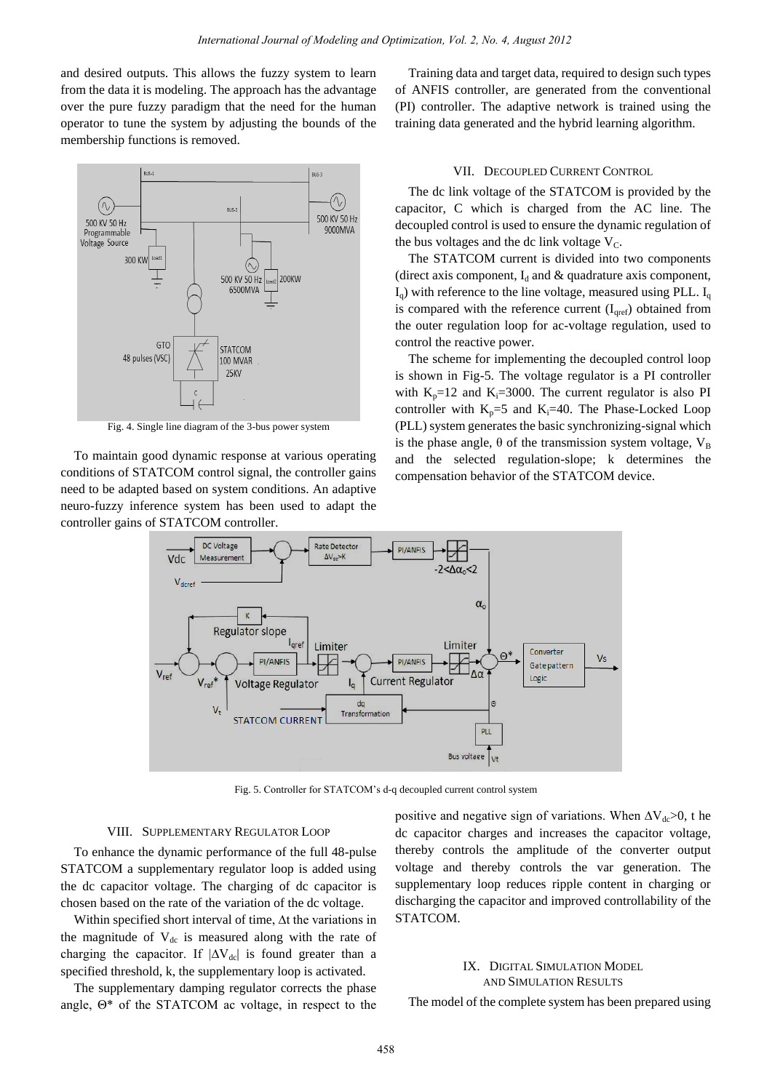and desired outputs. This allows the fuzzy system to learn from the data it is modeling. The approach has the advantage over the pure fuzzy paradigm that the need for the human operator to tune the system by adjusting the bounds of the membership functions is removed.



Fig. 4. Single line diagram of the 3-bus power system

To maintain good dynamic response at various operating conditions of STATCOM control signal, the controller gains need to be adapted based on system conditions. An adaptive neuro-fuzzy inference system has been used to adapt the controller gains of STATCOM controller.

Training data and target data, required to design such types of ANFIS controller, are generated from the conventional (PI) controller. The adaptive network is trained using the training data generated and the hybrid learning algorithm.

## VII. DECOUPLED CURRENT CONTROL

The dc link voltage of the STATCOM is provided by the capacitor, C which is charged from the AC line. The decoupled control is used to ensure the dynamic regulation of the bus voltages and the dc link voltage  $V<sub>C</sub>$ .

The STATCOM current is divided into two components (direct axis component,  $I_d$  and  $\&$  quadrature axis component,  $I<sub>q</sub>$ ) with reference to the line voltage, measured using PLL.  $I<sub>q</sub>$ is compared with the reference current  $(I<sub>qref</sub>)$  obtained from the outer regulation loop for ac-voltage regulation, used to control the reactive power.

The scheme for implementing the decoupled control loop is shown in Fig-5. The voltage regulator is a PI controller with  $K_p=12$  and  $K_i=3000$ . The current regulator is also PI controller with  $K_p=5$  and  $K_i=40$ . The Phase-Locked Loop (PLL) system generates the basic synchronizing-signal which is the phase angle,  $\theta$  of the transmission system voltage,  $V_B$ and the selected regulation-slope; k determines the compensation behavior of the STATCOM device.



Fig. 5. Controller for STATCOM's d-q decoupled current control system

#### VIII. SUPPLEMENTARY REGULATOR LOOP

To enhance the dynamic performance of the full 48-pulse STATCOM a supplementary regulator loop is added using the dc capacitor voltage. The charging of dc capacitor is chosen based on the rate of the variation of the dc voltage.

Within specified short interval of time, ∆t the variations in the magnitude of  $V_{dc}$  is measured along with the rate of charging the capacitor. If  $|\Delta V_{dc}|$  is found greater than a specified threshold, k, the supplementary loop is activated.

The supplementary damping regulator corrects the phase angle, Θ\* of the STATCOM ac voltage, in respect to the positive and negative sign of variations. When  $\Delta V_{dc} > 0$ , t he dc capacitor charges and increases the capacitor voltage, thereby controls the amplitude of the converter output voltage and thereby controls the var generation. The supplementary loop reduces ripple content in charging or discharging the capacitor and improved controllability of the STATCOM.

## IX. DIGITAL SIMULATION MODEL AND SIMULATION RESULTS

The model of the complete system has been prepared using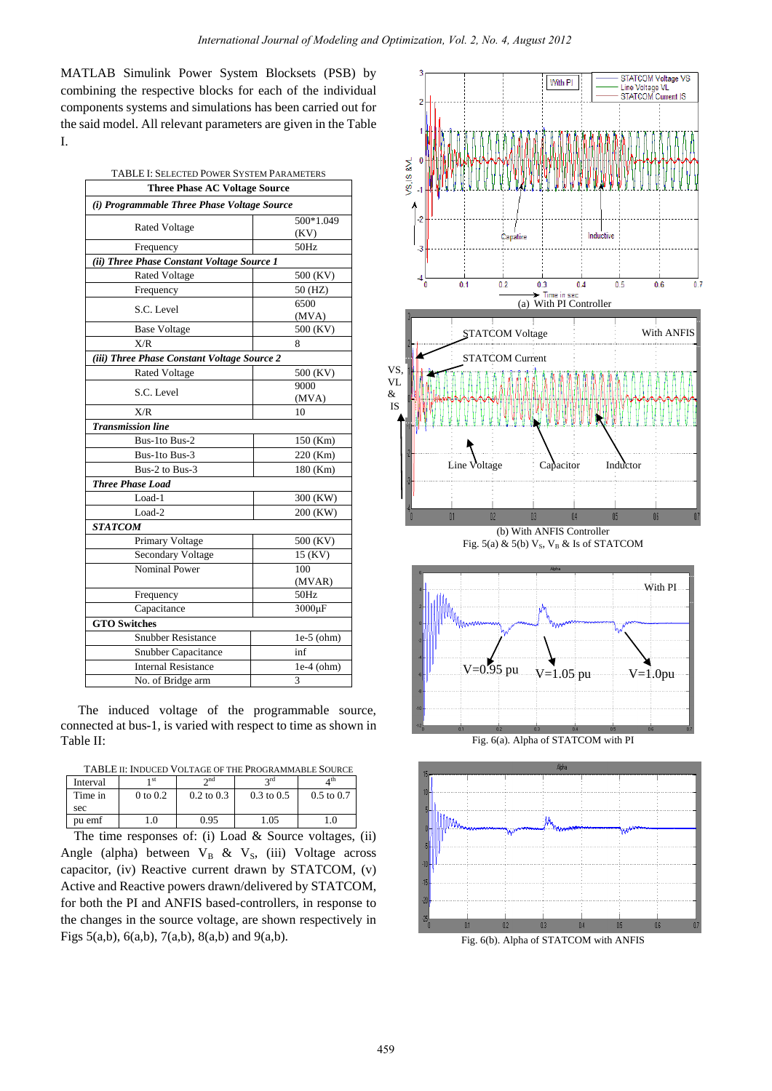MATLAB Simulink Power System Blocksets (PSB) by combining the respective blocks for each of the individual components systems and simulations has been carried out for the said model. All relevant parameters are given in the Table I.

| TABLE I: SELECTED POWER SYSTEM PARAMETERS   |               |  |  |  |
|---------------------------------------------|---------------|--|--|--|
| <b>Three Phase AC Voltage Source</b>        |               |  |  |  |
| (i) Programmable Three Phase Voltage Source |               |  |  |  |
|                                             | 500*1.049     |  |  |  |
| <b>Rated Voltage</b>                        | (KV)          |  |  |  |
| Frequency                                   | 50Hz          |  |  |  |
| (ii) Three Phase Constant Voltage Source 1  |               |  |  |  |
| Rated Voltage                               | 500 (KV)      |  |  |  |
| Frequency                                   | 50 (HZ)       |  |  |  |
| S.C. Level                                  | 6500<br>(MVA) |  |  |  |
| <b>Base Voltage</b>                         | 500 (KV)      |  |  |  |
| X/R                                         | 8             |  |  |  |
| (iii) Three Phase Constant Voltage Source 2 |               |  |  |  |
| <b>Rated Voltage</b>                        | 500 (KV)      |  |  |  |
| S.C. Level                                  | 9000          |  |  |  |
|                                             | (MVA)         |  |  |  |
| X/R                                         | 10            |  |  |  |
| <b>Transmission line</b>                    |               |  |  |  |
| Bus-1to Bus-2                               | 150 (Km)      |  |  |  |
| Bus-1to Bus-3                               | 220 (Km)      |  |  |  |
| Bus-2 to Bus-3                              | 180 (Km)      |  |  |  |
| <b>Three Phase Load</b>                     |               |  |  |  |
| Load-1                                      | 300 (KW)      |  |  |  |
| Load-2                                      | 200 (KW)      |  |  |  |
| <b>STATCOM</b>                              |               |  |  |  |
| Primary Voltage                             | 500 (KV)      |  |  |  |
| Secondary Voltage                           | 15 (KV)       |  |  |  |
| <b>Nominal Power</b>                        | 100           |  |  |  |
|                                             | (MVAR)        |  |  |  |
| Frequency                                   | 50Hz          |  |  |  |
| Capacitance                                 | 3000µF        |  |  |  |
| <b>GTO Switches</b>                         |               |  |  |  |
| <b>Snubber Resistance</b>                   | $le-5$ (ohm)  |  |  |  |
| Snubber Capacitance                         | inf           |  |  |  |
| <b>Internal Resistance</b>                  | $1e-4$ (ohm)  |  |  |  |
| No. of Bridge arm                           | 3             |  |  |  |

The induced voltage of the programmable source, connected at bus-1, is varied with respect to time as shown in Table II:

| TABLE II: INDUCED VOLTAGE OF THE PROGRAMMABLE SOURCE |
|------------------------------------------------------|
|------------------------------------------------------|

| Interval                                            | 1 st         | $\lambda$ nd   | 2rd                   | 4 th                  |  |
|-----------------------------------------------------|--------------|----------------|-----------------------|-----------------------|--|
| Time in                                             | $0$ to $0.2$ | $0.2$ to $0.3$ | $0.3 \text{ to } 0.5$ | $0.5 \text{ to } 0.7$ |  |
| sec                                                 |              |                |                       |                       |  |
| pu emf                                              | 1.0          | 0.95           | 1.05                  | 1.0                   |  |
| The time represents of $(i)$ Load & Source voltages |              |                |                       |                       |  |

The time responses of: (i) Load & Source voltages, (ii) Angle (alpha) between  $V_B$  &  $V_S$ , (iii) Voltage across capacitor, (iv) Reactive current drawn by STATCOM, (v) Active and Reactive powers drawn/delivered by STATCOM, for both the PI and ANFIS based-controllers, in response to the changes in the source voltage, are shown respectively in Figs 5(a,b), 6(a,b), 7(a,b), 8(a,b) and 9(a,b).

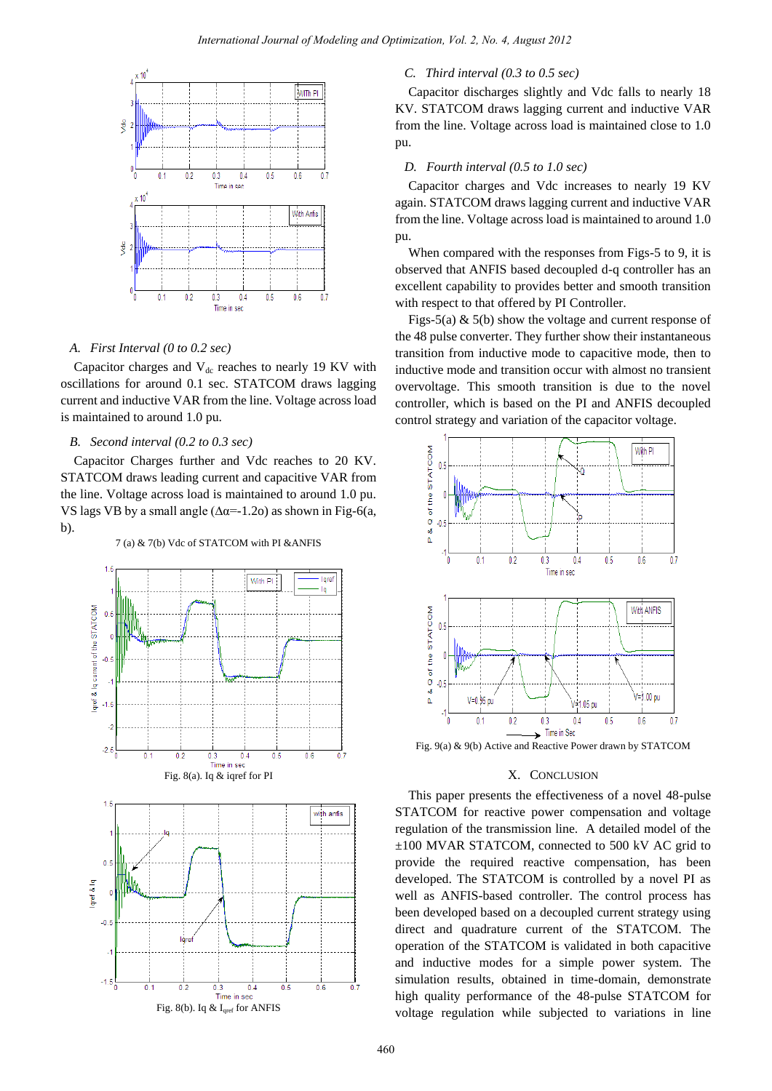

## *A. First Interval (0 to 0.2 sec)*

Capacitor charges and  $V_{dc}$  reaches to nearly 19 KV with oscillations for around 0.1 sec. STATCOM draws lagging current and inductive VAR from the line. Voltage across load is maintained to around 1.0 pu.

### *B. Second interval (0.2 to 0.3 sec)*

Capacitor Charges further and Vdc reaches to 20 KV. STATCOM draws leading current and capacitive VAR from the line. Voltage across load is maintained to around 1.0 pu. VS lags VB by a small angle ( $\Delta \alpha = -1.2$ o) as shown in Fig-6(a, b).



## *C. Third interval (0.3 to 0.5 sec)*

Capacitor discharges slightly and Vdc falls to nearly 18 KV. STATCOM draws lagging current and inductive VAR from the line. Voltage across load is maintained close to 1.0 pu.

## *D. Fourth interval (0.5 to 1.0 sec)*

Capacitor charges and Vdc increases to nearly 19 KV again. STATCOM draws lagging current and inductive VAR from the line. Voltage across load is maintained to around 1.0 pu.

When compared with the responses from Figs-5 to 9, it is observed that ANFIS based decoupled d-q controller has an excellent capability to provides better and smooth transition with respect to that offered by PI Controller.

Figs-5(a)  $\&$  5(b) show the voltage and current response of the 48 pulse converter. They further show their instantaneous transition from inductive mode to capacitive mode, then to inductive mode and transition occur with almost no transient overvoltage. This smooth transition is due to the novel controller, which is based on the PI and ANFIS decoupled control strategy and variation of the capacitor voltage.



Fig. 9(a) & 9(b) Active and Reactive Power drawn by STATCOM

## X. CONCLUSION

This paper presents the effectiveness of a novel 48-pulse STATCOM for reactive power compensation and voltage regulation of the transmission line. A detailed model of the ±100 MVAR STATCOM, connected to 500 kV AC grid to provide the required reactive compensation, has been developed. The STATCOM is controlled by a novel PI as well as ANFIS-based controller. The control process has been developed based on a decoupled current strategy using direct and quadrature current of the STATCOM. The operation of the STATCOM is validated in both capacitive and inductive modes for a simple power system. The simulation results, obtained in time-domain, demonstrate high quality performance of the 48-pulse STATCOM for voltage regulation while subjected to variations in line